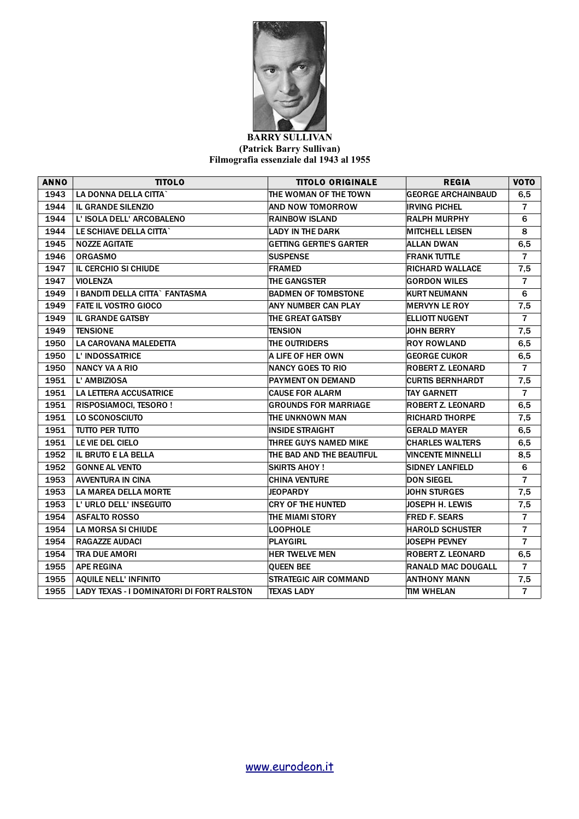

## **BARRY SULLIVAN (Patrick Barry Sullivan) Filmografia essenziale dal 1943 al 1955**

| <b>ANNO</b> | <b>TITOLO</b>                                    | <b>TITOLO ORIGINALE</b>        | <b>REGIA</b>              | <b>VOTO</b>    |
|-------------|--------------------------------------------------|--------------------------------|---------------------------|----------------|
| 1943        | LA DONNA DELLA CITTA`                            | THE WOMAN OF THE TOWN          | <b>GEORGE ARCHAINBAUD</b> | 6,5            |
| 1944        | <b>IL GRANDE SILENZIO</b>                        | AND NOW TOMORROW               | <b>IRVING PICHEL</b>      | $\overline{7}$ |
| 1944        | L' ISOLA DELL' ARCOBALENO                        | <b>RAINBOW ISLAND</b>          | <b>RALPH MURPHY</b>       | 6              |
| 1944        | LE SCHIAVE DELLA CITTA`                          | <b>LADY IN THE DARK</b>        | <b>MITCHELL LEISEN</b>    | 8              |
| 1945        | <b>NOZZE AGITATE</b>                             | <b>GETTING GERTIE'S GARTER</b> | ALLAN DWAN                | 6,5            |
| 1946        | <b>ORGASMO</b>                                   | <b>SUSPENSE</b>                | <b>FRANK TUTTLE</b>       | $\overline{7}$ |
| 1947        | IL CERCHIO SI CHIUDE                             | <b>FRAMED</b>                  | <b>RICHARD WALLACE</b>    | 7,5            |
| 1947        | <b>VIOLENZA</b>                                  | <b>THE GANGSTER</b>            | <b>GORDON WILES</b>       | $\overline{7}$ |
| 1949        | I BANDITI DELLA CITTA` FANTASMA                  | <b>BADMEN OF TOMBSTONE</b>     | <b>KURT NEUMANN</b>       | 6              |
| 1949        | <b>FATE IL VOSTRO GIOCO</b>                      | ANY NUMBER CAN PLAY            | <b>MERVYN LE ROY</b>      | 7,5            |
| 1949        | <b>IL GRANDE GATSBY</b>                          | THE GREAT GATSBY               | <b>ELLIOTT NUGENT</b>     | $\overline{7}$ |
| 1949        | <b>TENSIONE</b>                                  | <b>TENSION</b>                 | <b>JOHN BERRY</b>         | 7,5            |
| 1950        | LA CAROVANA MALEDETTA                            | THE OUTRIDERS                  | <b>ROY ROWLAND</b>        | 6,5            |
| 1950        | L' INDOSSATRICE                                  | A LIFE OF HER OWN              | <b>GEORGE CUKOR</b>       | 6,5            |
| 1950        | <b>NANCY VA A RIO</b>                            | <b>NANCY GOES TO RIO</b>       | <b>ROBERT Z. LEONARD</b>  | $\overline{7}$ |
| 1951        | L' AMBIZIOSA                                     | <b>PAYMENT ON DEMAND</b>       | <b>CURTIS BERNHARDT</b>   | 7,5            |
| 1951        | <b>LA LETTERA ACCUSATRICE</b>                    | <b>CAUSE FOR ALARM</b>         | <b>TAY GARNETT</b>        | $\overline{7}$ |
| 1951        | RISPOSIAMOCI, TESORO!                            | <b>GROUNDS FOR MARRIAGE</b>    | ROBERT Z. LEONARD         | 6,5            |
| 1951        | LO SCONOSCIUTO                                   | THE UNKNOWN MAN                | <b>RICHARD THORPE</b>     | 7,5            |
| 1951        | TUTTO PER TUTTO                                  | <b>INSIDE STRAIGHT</b>         | <b>GERALD MAYER</b>       | 6,5            |
| 1951        | LE VIE DEL CIELO                                 | THREE GUYS NAMED MIKE          | <b>CHARLES WALTERS</b>    | 6,5            |
| 1952        | <b>IL BRUTO E LA BELLA</b>                       | THE BAD AND THE BEAUTIFUL      | VINCENTE MINNELLI         | 8,5            |
| 1952        | <b>GONNE AL VENTO</b>                            | <b>SKIRTS AHOY!</b>            | <b>SIDNEY LANFIELD</b>    | 6              |
| 1953        | <b>AVVENTURA IN CINA</b>                         | <b>CHINA VENTURE</b>           | <b>DON SIEGEL</b>         | $\overline{7}$ |
| 1953        | <b>LA MAREA DELLA MORTE</b>                      | <b>JEOPARDY</b>                | <b>JOHN STURGES</b>       | 7,5            |
| 1953        | L' URLO DELL' INSEGUITO                          | <b>CRY OF THE HUNTED</b>       | JOSEPH H. LEWIS           | 7,5            |
| 1954        | <b>ASFALTO ROSSO</b>                             | THE MIAMI STORY                | <b>FRED F. SEARS</b>      | $\overline{7}$ |
| 1954        | <b>LA MORSA SI CHIUDE</b>                        | <b>LOOPHOLE</b>                | <b>HAROLD SCHUSTER</b>    | $\overline{7}$ |
| 1954        | <b>RAGAZZE AUDACI</b>                            | <b>PLAYGIRL</b>                | <b>JOSEPH PEVNEY</b>      | $\overline{7}$ |
| 1954        | <b>TRA DUE AMORI</b>                             | <b>HER TWELVE MEN</b>          | ROBERT Z. LEONARD         | 6,5            |
| 1955        | <b>APE REGINA</b>                                | <b>QUEEN BEE</b>               | <b>RANALD MAC DOUGALL</b> | $\overline{7}$ |
| 1955        | <b>AQUILE NELL' INFINITO</b>                     | <b>STRATEGIC AIR COMMAND</b>   | <b>ANTHONY MANN</b>       | 7,5            |
| 1955        | <b>LADY TEXAS - I DOMINATORI DI FORT RALSTON</b> | <b>TEXAS LADY</b>              | TIM WHELAN                | $\overline{7}$ |